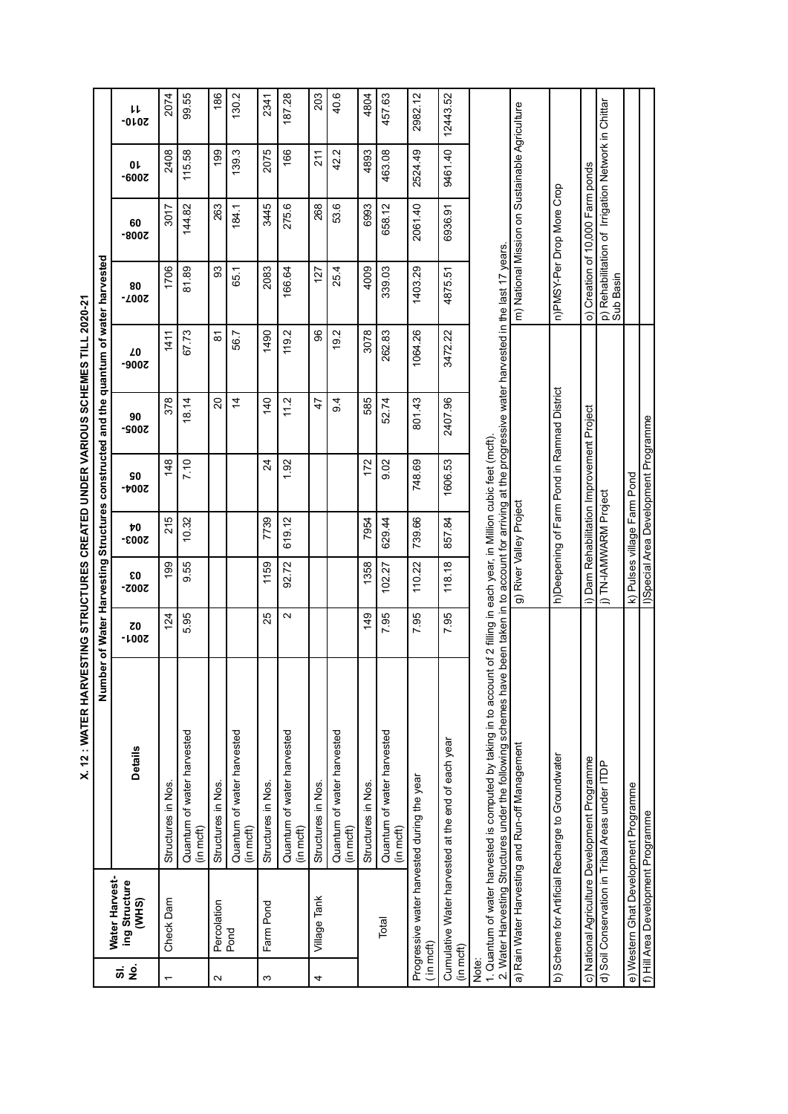| l                                |  |
|----------------------------------|--|
| .<br>.<br>.<br>i<br>Ö            |  |
|                                  |  |
| :<br>;<br>;                      |  |
|                                  |  |
| <b>CONFIDENTIAL CONFIDENTIAL</b> |  |
|                                  |  |
|                                  |  |
|                                  |  |
| l                                |  |
|                                  |  |
| ֚֝<br>֚                          |  |
|                                  |  |

|               |                                          | Numl<br>Z                                                                                                                                                                                                                                                                                  |                            |                             |             |                                           |                                             | ber of Water Harvesting Structures constructed and the quantum of water harvested |               |                                                                 |               |              |
|---------------|------------------------------------------|--------------------------------------------------------------------------------------------------------------------------------------------------------------------------------------------------------------------------------------------------------------------------------------------|----------------------------|-----------------------------|-------------|-------------------------------------------|---------------------------------------------|-----------------------------------------------------------------------------------|---------------|-----------------------------------------------------------------|---------------|--------------|
| <u>ສ່ ອຸ່</u> | Water Harvest-<br>ing Structure<br>(WHS) | <b>Details</b>                                                                                                                                                                                                                                                                             | $\overline{c}0$<br>$-100Z$ | ε0<br><b>2002-</b>          | Þ0<br>2003- | 90<br>-4002                               | 90<br>$-900Z$                               | Z0<br>$-900Z$                                                                     | 80<br>$-200Z$ | 60<br>-800Z                                                     | Oŀ<br>$-600Z$ | り<br>$-010Z$ |
|               | Check Dam                                | Structures in Nos.                                                                                                                                                                                                                                                                         | 124                        | 199                         | 215         | 148                                       | 378                                         | 1411                                                                              | 1706          | 3017                                                            | 2408          | 2074         |
|               |                                          | Quantum of water harvested<br>(in mcft)                                                                                                                                                                                                                                                    | 5.95                       | 9.55                        | 10.32       | 7.10                                      | 18.14                                       | 67.73                                                                             | 81.89         | 144.82                                                          | 115.58        | 99.55        |
| $\sim$        | Percolation<br>Pond                      | Structures in Nos.                                                                                                                                                                                                                                                                         |                            |                             |             |                                           | 20                                          | ౚ                                                                                 | 93            | 263                                                             | 199           | 186          |
|               |                                          | Quantum of water harvested<br>(in mcft)                                                                                                                                                                                                                                                    |                            |                             |             |                                           | $\overline{4}$                              | 56.7                                                                              | 65.1          | 184.1                                                           | 139.3         | 130.2        |
| S             | Farm Pond                                | Structures in Nos.                                                                                                                                                                                                                                                                         | 25                         | 1159                        | 7739        | $\overline{24}$                           | 140                                         | 1490                                                                              | 2083          | 3445                                                            | 2075          | 2341         |
|               |                                          | Quantum of water harvested<br>(in mcft)                                                                                                                                                                                                                                                    | $\mathbf{\sim}$            | 92.72                       | 619.12      | 1.92                                      | 11.2                                        | 119.2                                                                             | 166.64        | 275.6                                                           | 166           | 187.28       |
| 4             | Village Tank                             | Structures in Nos.                                                                                                                                                                                                                                                                         |                            |                             |             |                                           | $\ddot{4}$                                  | 96                                                                                | 127           | 268                                                             | 211           | 203          |
|               |                                          | Quantum of water harvested<br>(in mcft)                                                                                                                                                                                                                                                    |                            |                             |             |                                           | 9.4                                         | 19.2                                                                              | 25.4          | 53.6                                                            | 42.2          | 40.6         |
|               |                                          | Structures in Nos.                                                                                                                                                                                                                                                                         | 149                        | 1358                        | 7954        | 172                                       | 585                                         | 3078                                                                              | 4009          | 6993                                                            | 4893          | 4804         |
|               | Total                                    | Quantum of water harvested<br>(in mcft)                                                                                                                                                                                                                                                    | 7.95                       | 102.27                      | 629.44      | 9.02                                      | 52.74                                       | 262.83                                                                            | 339.03        | 658.12                                                          | 463.08        | 457.63       |
|               | (in mcft)                                | Progressive water harvested during the year                                                                                                                                                                                                                                                | 7.95                       | 110.22                      | 739.66      | 748.69                                    | 801.43                                      | 1064.26                                                                           | 1403.29       | 2061.40                                                         | 2524.49       | 2982.12      |
| (in mcft)     |                                          | Cumulative Water harvested at the end of each year                                                                                                                                                                                                                                         | 7.95                       | 118.18                      | 857.84      | 1606.53                                   | 2407.96                                     | 3472.22                                                                           | 4875.51       | 6936.91                                                         | 9461.40       | 12443.52     |
| Note:         |                                          | 2. Water Harvesting Structures under the following schemes have been taken in to account for arriving at the progressive water harvested in the last 17 years<br>1. Quantum of water harvested is computed by taking in to account of 2 filling in each year, in Million cubic feet (mcft) |                            |                             |             |                                           |                                             |                                                                                   |               |                                                                 |               |              |
|               |                                          | a) Rain Water Harvesting and Run-off Management                                                                                                                                                                                                                                            |                            | g) River Valley Project     |             |                                           |                                             |                                                                                   |               | m) National Mission on Sustainable Agriculture                  |               |              |
|               |                                          | b) Scheme for Artificial Recharge to Groundwater                                                                                                                                                                                                                                           |                            |                             |             |                                           | h)Deepening of Farm Pond in Ramnad District |                                                                                   |               | n)PMSY-Per Drop More Crop                                       |               |              |
|               |                                          | c) National Agriculture Development Programme                                                                                                                                                                                                                                              |                            |                             |             | i) Dam Rehabilitation Improvement Project |                                             |                                                                                   |               | o) Creation of 10,000 Farm ponds                                |               |              |
|               |                                          | d) Soil Conservation in Tribal Areas under ITDP                                                                                                                                                                                                                                            |                            | j) TN-IAMWARM Project       |             |                                           |                                             |                                                                                   |               | p) Rehabilitation of Irrigation Network in Chittar<br>Sub Basin |               |              |
|               | e) Western Ghat Development Programme    |                                                                                                                                                                                                                                                                                            |                            | k) Pulses village Farm Pond |             |                                           |                                             |                                                                                   |               |                                                                 |               |              |
|               | f) Hill Area Development Programme       |                                                                                                                                                                                                                                                                                            |                            |                             |             | I)Special Area Development Programme      |                                             |                                                                                   |               |                                                                 |               |              |